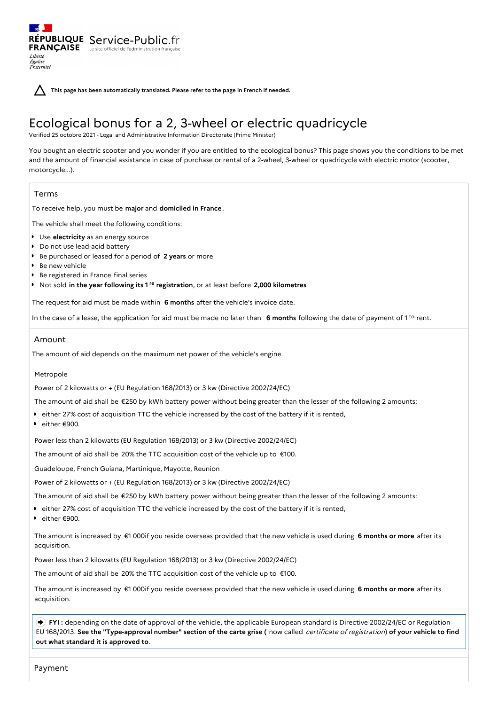Liberté Égalité Fraternité

RÉPUBLIQUE Service-Public.fr **FRANÇAISE** Le site officiel de l'administration fran

**This page has been automatically translated. Please refer to the page in French if needed.**

# Ecological bonus for a 2, 3-wheel or electric quadricycle

Verified 25 octobre 2021 - Legal and Administrative Information Directorate (Prime Minister)

You bought an electric scooter and you wonder if you are entitled to the ecological bonus? This page shows you the conditions to be met and the amount of financial assistance in case of purchase or rental of a 2-wheel, 3-wheel or quadricycle with electric motor (scooter, motorcycle...).

# Terms

To receive help, you must be **major** and **domiciled in France**.

The vehicle shall meet the following conditions:

- Use **electricity** as an energy source
- Do not use lead-acid battery
- Be purchased or leased for a period of **2 years** or more
- Be new vehicle
- Be registered in France final series
- Not sold **in the year following its 1 registration**, or at least before **2,000 kilometres re**

The request for aid must be made within **6 months** after the vehicle's invoice date.

In the case of a lease, the application for aid must be made no later than  $6$  months following the date of payment of 1<sup>to</sup> rent.

## Amount

The amount of aid depends on the maximum net power of the vehicle's engine.

## Metropole

Power of 2 kilowatts or + (EU Regulation 168/2013) or 3 kw (Directive 2002/24/EC)

The amount of aid shall be €250 by kWh battery power without being greater than the lesser of the following 2 amounts:

- either 27% cost of acquisition TTC the vehicle increased by the cost of the battery if it is rented,
- $\mathbf{r}$ either €900.

Power less than 2 kilowatts (EU Regulation 168/2013) or 3 kw (Directive 2002/24/EC)

The amount of aid shall be 20% the TTC acquisition cost of the vehicle up to €100.

Guadeloupe, French Guiana, Martinique, Mayotte, Reunion

Power of 2 kilowatts or + (EU Regulation 168/2013) or 3 kw (Directive 2002/24/EC)

The amount of aid shall be €250 by kWh battery power without being greater than the lesser of the following 2 amounts:

- either 27% cost of acquisition TTC the vehicle increased by the cost of the battery if it is rented,
- $\bullet$ either €900.

The amount is increased by €1 000if you reside overseas provided that the new vehicle is used during **6 months or more** after its acquisition.

Power less than 2 kilowatts (EU Regulation 168/2013) or 3 kw (Directive 2002/24/EC)

The amount of aid shall be 20% the TTC acquisition cost of the vehicle up to €100.

The amount is increased by €1 000if you reside overseas provided that the new vehicle is used during **6 months or more** after its acquisition.

 **FYI :** depending on the date of approval of the vehicle, the applicable European standard is Directive 2002/24/EC or Regulation EU 168/2013. See the "Type-approval number" section of the carte grise (now called certificate of registration) of your vehicle to find **out what standard it is approved to**.

Payment